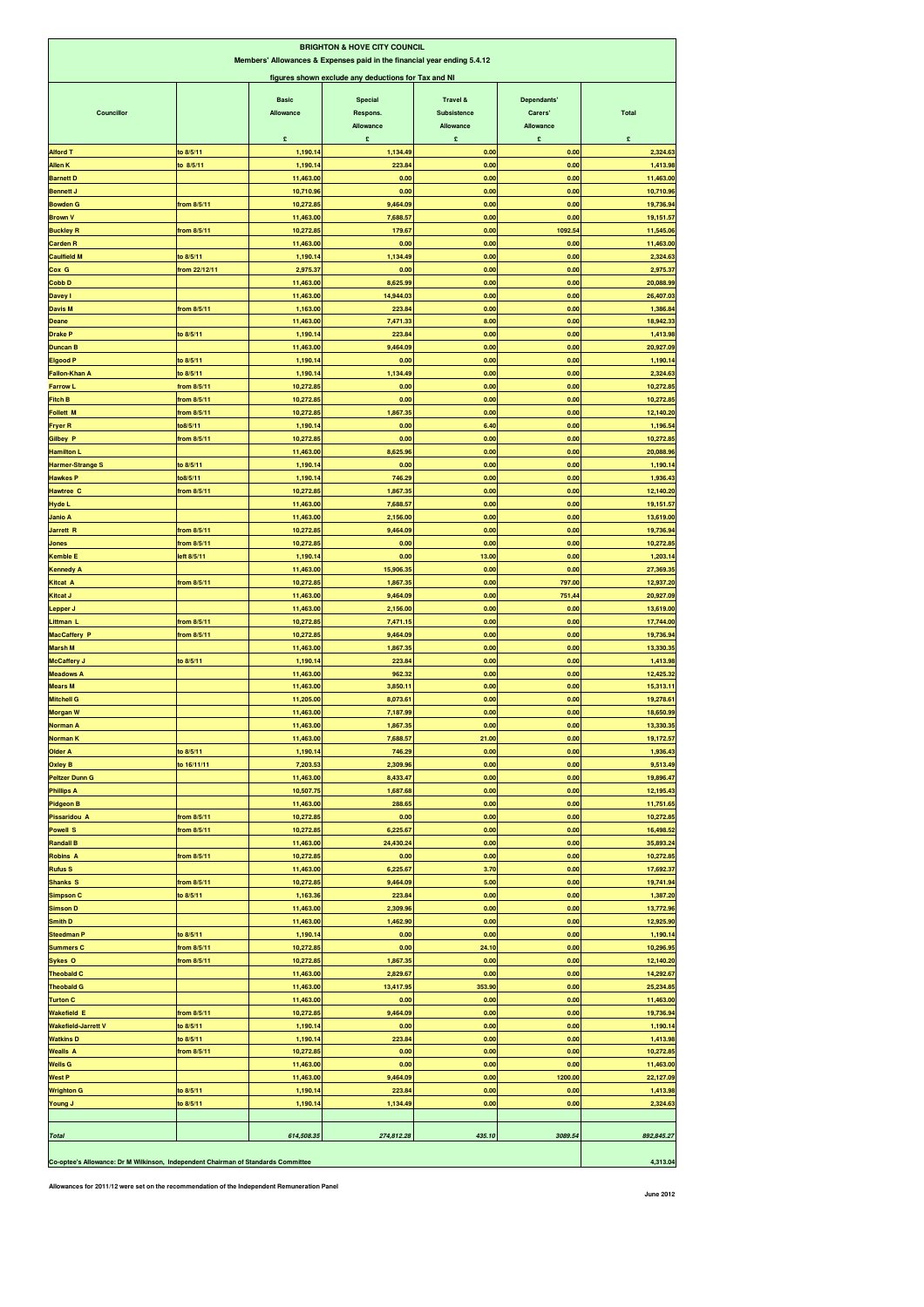| <b>BRIGHTON &amp; HOVE CITY COUNCIL</b><br>Members' Allowances & Expenses paid in the financial year ending 5.4.12<br>figures shown exclude any deductions for Tax and NI |                          |                                |                                       |                                           |                                          |                        |  |  |
|---------------------------------------------------------------------------------------------------------------------------------------------------------------------------|--------------------------|--------------------------------|---------------------------------------|-------------------------------------------|------------------------------------------|------------------------|--|--|
| Councillor                                                                                                                                                                |                          | <b>Basic</b><br>Allowance<br>£ | Special<br>Respons.<br>Allowance<br>£ | Travel &<br>Subsistence<br>Allowance<br>£ | Dependants'<br>Carers'<br>Allowance<br>£ | <b>Total</b><br>£      |  |  |
| <b>Alford T</b>                                                                                                                                                           | to 8/5/11                | 1,190.14                       | 1,134.49                              | 0.00                                      | 0.00                                     | 2,324.63               |  |  |
| <b>Allen K</b>                                                                                                                                                            | to 8/5/11                | 1,190.14                       | 223.84                                | 0.00                                      | 0.00                                     | 1,413.98               |  |  |
| <b>Barnett D</b>                                                                                                                                                          |                          | 11,463.00                      | 0.00                                  | 0.00                                      | 0.00                                     | 11,463.00              |  |  |
| <b>Bennett J</b>                                                                                                                                                          |                          | 10,710.96                      | 0.00                                  | 0.00                                      | 0.00                                     | 10,710.96              |  |  |
| <b>Bowden G</b>                                                                                                                                                           | from 8/5/11              | 10,272.85                      | 9,464.09                              | 0.00                                      | 0.00                                     | 19,736.94              |  |  |
| <b>Brown V</b>                                                                                                                                                            |                          | 11,463.00                      | 7,688.57                              | 0.00                                      | 0.00                                     | 19,151.57              |  |  |
| <b>Buckley R</b>                                                                                                                                                          | from 8/5/11              | 10,272.85                      | 179.67                                | 0.00                                      | 1092.54                                  | 11,545.06              |  |  |
| <b>Carden R</b><br><b>Caulfield M</b>                                                                                                                                     | to 8/5/11                | 11,463.00<br>1,190.14          | 0.00<br>1,134.49                      | 0.00<br>0.00                              | 0.00<br>0.00                             | 11,463.00<br>2,324.63  |  |  |
| Cox G                                                                                                                                                                     | from 22/12/11            | 2,975.37                       | 0.00                                  | 0.00                                      | 0.00                                     | 2,975.37               |  |  |
| Cobb D                                                                                                                                                                    |                          | 11,463.00                      | 8,625.99                              | 0.00                                      | 0.00                                     | 20,088.99              |  |  |
| Davey I                                                                                                                                                                   |                          | 11,463.00                      | 14,944.03                             | 0.00                                      | 0.00                                     | 26,407.03              |  |  |
| <b>Davis M</b>                                                                                                                                                            | from 8/5/11              | 1,163.00                       | 223.84                                | 0.00                                      | 0.00                                     | 1,386.84               |  |  |
| Deane                                                                                                                                                                     |                          | 11,463.00                      | 7,471.33                              | 8.00                                      | 0.00                                     | 18,942.33              |  |  |
| <b>Drake P</b>                                                                                                                                                            | to 8/5/11                | 1,190.14                       | 223.84                                | 0.00                                      | 0.00                                     | 1,413.98               |  |  |
| <b>Duncan B</b>                                                                                                                                                           |                          | 11,463.00                      | 9,464.09                              | 0.00                                      | 0.00                                     | 20,927.09              |  |  |
| <b>Elgood P</b>                                                                                                                                                           | to 8/5/11                | 1,190.14                       | 0.00                                  | 0.00                                      | 0.00                                     | 1,190.14               |  |  |
| <b>Fallon-Khan A</b>                                                                                                                                                      | to 8/5/11<br>from 8/5/11 | 1,190.14<br>10,272.85          | 1,134.49<br>0.00                      | 0.00<br>0.00                              | 0.00<br>0.00                             | 2,324.63<br>10,272.85  |  |  |
| <b>Farrow L</b><br><b>Fitch B</b>                                                                                                                                         | from 8/5/11              | 10,272.85                      | 0.00                                  | 0.00                                      | 0.00                                     | 10,272.85              |  |  |
| <b>Follett M</b>                                                                                                                                                          | from 8/5/11              | 10,272.85                      | 1,867.35                              | 0.00                                      | 0.00                                     | 12,140.20              |  |  |
| <b>Fryer R</b>                                                                                                                                                            | to8/5/11                 | 1,190.14                       | 0.00                                  | 6.40                                      | 0.00                                     | 1,196.54               |  |  |
| <b>Gilbey P</b>                                                                                                                                                           | from 8/5/11              | 10,272.85                      | 0.00                                  | 0.00                                      | 0.00                                     | 10,272.85              |  |  |
| <b>Hamilton L</b>                                                                                                                                                         |                          | 11,463.00                      | 8,625.96                              | 0.00                                      | 0.00                                     | 20,088.96              |  |  |
| <b>Harmer-Strange S</b>                                                                                                                                                   | to 8/5/11                | 1,190.14                       | 0.00                                  | 0.00                                      | 0.00                                     | 1,190.14               |  |  |
| <b>Hawkes P</b>                                                                                                                                                           | to8/5/11                 | 1,190.14                       | 746.29                                | 0.00                                      | 0.00                                     | 1,936.43               |  |  |
| <b>Hawtree C</b>                                                                                                                                                          | from 8/5/11              | 10,272.85                      | 1,867.35                              | 0.00                                      | 0.00                                     | 12,140.20              |  |  |
| <b>Hyde L</b>                                                                                                                                                             |                          | 11,463.00                      | 7,688.57                              | 0.00<br>0.00                              | 0.00<br>0.00                             | 19,151.57              |  |  |
| Janio A<br>Jarrett R                                                                                                                                                      | from 8/5/11              | 11,463.00<br>10,272.85         | 2,156.00<br>9,464.09                  | 0.00                                      | 0.00                                     | 13,619.00<br>19,736.94 |  |  |
| Jones                                                                                                                                                                     | from 8/5/11              | 10,272.85                      | 0.00                                  | 0.00                                      | 0.00                                     | 10,272.85              |  |  |
| <b>Kemble E</b>                                                                                                                                                           | left 8/5/11              | 1,190.14                       | 0.00                                  | 13.00                                     | 0.00                                     | 1,203.14               |  |  |
| <b>Kennedy A</b>                                                                                                                                                          |                          | 11,463.00                      | 15,906.35                             | 0.00                                      | 0.00                                     | 27,369.35              |  |  |
| Kitcat A                                                                                                                                                                  | from 8/5/11              | 10,272.85                      | 1,867.35                              | 0.00                                      | 797.00                                   | 12,937.20              |  |  |
| Kitcat J                                                                                                                                                                  |                          | 11,463.00                      | 9,464.09                              | 0.00                                      | 751,44                                   | 20,927.09              |  |  |
| Lepper J                                                                                                                                                                  |                          | 11,463.00                      | 2,156.00                              | 0.00                                      | 0.00                                     | 13,619.00              |  |  |
| Littman L                                                                                                                                                                 | from 8/5/11              | 10,272.85                      | 7,471.15                              | 0.00                                      | 0.00                                     | 17,744.00              |  |  |
| <b>MacCaffery P</b>                                                                                                                                                       | from 8/5/11              | 10,272.85                      | 9,464.09                              | 0.00                                      | 0.00                                     | 19,736.94              |  |  |
| <b>Marsh M</b>                                                                                                                                                            |                          | 11,463.00                      | 1,867.35                              | 0.00                                      | 0.00                                     | 13,330.35              |  |  |
| <b>McCaffery J</b>                                                                                                                                                        | to 8/5/11                | 1,190.14                       | 223.84                                | 0.00                                      | 0.00                                     | 1,413.98               |  |  |
| <b>Meadows A</b><br><b>Mears M</b>                                                                                                                                        |                          | 11,463.00<br>11,463.00         | 962.32<br>3,850.11                    | 0.00<br>0.00                              | 0.00<br>0.00                             | 12,425.32<br>15,313.11 |  |  |
| <b>Mitchell G</b>                                                                                                                                                         |                          | 11,205.00                      | 8,073.61                              | 0.00                                      | 0.00                                     | 19,278.61              |  |  |
| <b>Morgan W</b>                                                                                                                                                           |                          | 11,463.00                      | 7,187.99                              | 0.00                                      | 0.00                                     | 18,650.99              |  |  |
| <b>Norman A</b>                                                                                                                                                           |                          | 11,463.00                      | 1,867.35                              | 0.00                                      | 0.00                                     | 13,330.35              |  |  |
| Norman K                                                                                                                                                                  |                          | 11,463.00                      | 7,688.57                              | 21.00                                     | 0.00                                     | 19,172.57              |  |  |
| <b>Older A</b>                                                                                                                                                            | to 8/5/11                | 1,190.14                       | 746.29                                | 0.00                                      | 0.00                                     | 1,936.43               |  |  |
| <b>Oxley B</b>                                                                                                                                                            | to 16/11/11              | 7,203.53                       | 2,309.96                              | 0.00                                      | 0.00                                     | 9,513.49               |  |  |
| <b>Peltzer Dunn G</b>                                                                                                                                                     |                          | 11,463.00                      | 8,433.47                              | 0.00                                      | 0.00                                     | 19,896.47              |  |  |
| <b>Phillips A</b>                                                                                                                                                         |                          | 10,507.75                      | 1,687.68                              | 0.00                                      | 0.00                                     | 12,195.43              |  |  |
| <b>Pidgeon B</b>                                                                                                                                                          |                          | 11,463.00                      | 288.65                                | 0.00                                      | 0.00                                     | 11,751.65              |  |  |
| <b>Pissaridou A</b>                                                                                                                                                       | from 8/5/11              | 10,272.85<br>10,272.85         | 0.00<br>6,225.67                      | 0.00<br>0.00                              | 0.00<br>0.00                             | 10,272.85              |  |  |
| <b>Powell S</b><br><b>Randall B</b>                                                                                                                                       | from 8/5/11              | 11,463.00                      | 24,430.24                             | 0.00                                      | 0.00                                     | 16,498.52<br>35,893.24 |  |  |
| <b>Robins A</b>                                                                                                                                                           | from 8/5/11              | 10,272.85                      | 0.00                                  | 0.00                                      | 0.00                                     | 10,272.85              |  |  |
| <b>Rufus S</b>                                                                                                                                                            |                          | 11,463.00                      | 6,225.67                              | 3.70                                      | 0.00                                     | 17,692.37              |  |  |
| <b>Shanks S</b>                                                                                                                                                           | from 8/5/11              | 10,272.85                      | 9,464.09                              | 5.00                                      | 0.00                                     | 19,741.94              |  |  |
| <b>Simpson C</b>                                                                                                                                                          | to 8/5/11                | 1,163.36                       | 223.84                                | 0.00                                      | 0.00                                     | 1,387.20               |  |  |
| <b>Simson D</b>                                                                                                                                                           |                          | 11,463.00                      | 2,309.96                              | 0.00                                      | 0.00                                     | 13,772.96              |  |  |
| Smith D                                                                                                                                                                   |                          | 11,463.00                      | 1,462.90                              | 0.00                                      | 0.00                                     | 12,925.90              |  |  |
| <b>Steedman P</b>                                                                                                                                                         | to 8/5/11                | 1,190.14                       | 0.00                                  | 0.00                                      | 0.00                                     | 1,190.14               |  |  |
| <b>Summers C</b>                                                                                                                                                          | from 8/5/11              | 10,272.85                      | 0.00                                  | 24.10                                     | 0.00                                     | 10,296.95              |  |  |
| Sykes <sub>O</sub><br><b>Theobald C</b>                                                                                                                                   | from 8/5/11              | 10,272.85<br>11,463.00         | 1,867.35<br>2,829.67                  | 0.00<br>0.00                              | 0.00<br>0.00                             | 12,140.20<br>14,292.67 |  |  |
| <b>Theobald G</b>                                                                                                                                                         |                          | 11,463.00                      | 13,417.95                             | 353.90                                    | 0.00                                     | 25,234.85              |  |  |
| <b>Turton C</b>                                                                                                                                                           |                          | 11,463.00                      | 0.00                                  | 0.00                                      | 0.00                                     | 11,463.00              |  |  |
| <b>Wakefield E</b>                                                                                                                                                        | from 8/5/11              | 10,272.85                      | 9,464.09                              | 0.00                                      | 0.00                                     | 19,736.94              |  |  |
| <b>Wakefield-Jarrett V</b>                                                                                                                                                | to 8/5/11                | 1,190.14                       | 0.00                                  | 0.00                                      | 0.00                                     | 1,190.14               |  |  |
| <b>Watkins D</b>                                                                                                                                                          | to 8/5/11                | 1,190.14                       | 223.84                                | 0.00                                      | 0.00                                     | 1,413.98               |  |  |
| <b>Wealls A</b>                                                                                                                                                           | from 8/5/11              | 10,272.85                      | 0.00                                  | 0.00                                      | 0.00                                     | 10,272.85              |  |  |
| <b>Wells G</b>                                                                                                                                                            |                          | 11,463.00                      | 0.00                                  | 0.00                                      | 0.00                                     | 11,463.00              |  |  |
| <b>West P</b>                                                                                                                                                             |                          | 11,463.00                      | 9,464.09                              | 0.00                                      | 1200.00                                  | 22,127.09              |  |  |
| <b>Wrighton G</b>                                                                                                                                                         | to 8/5/11                | 1,190.14                       | 223.84                                | 0.00                                      | 0.00                                     | 1,413.98               |  |  |
| <b>Young J</b>                                                                                                                                                            | to 8/5/11                | 1,190.14                       | 1,134.49                              | 0.00                                      | 0.00                                     | 2,324.63               |  |  |
|                                                                                                                                                                           |                          |                                |                                       |                                           |                                          |                        |  |  |
| <b>Total</b>                                                                                                                                                              |                          | 614,508.35                     | 274,812.28                            | 435.10                                    | 3089.54                                  | 892,845.27             |  |  |
|                                                                                                                                                                           |                          |                                |                                       |                                           |                                          |                        |  |  |
| Co-optee's Allowance: Dr M Wilkinson, Independent Chairman of Standards Committee                                                                                         |                          |                                |                                       |                                           |                                          | 4,313.04               |  |  |

**Allowances for 2011/12 were set on the recommendation of the Independent Remuneration Panel**